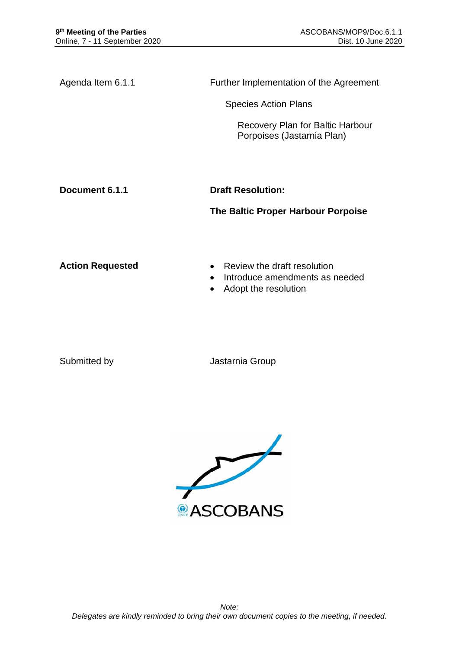Agenda Item 6.1.1 Further Implementation of the Agreement

Species Action Plans

Recovery Plan for Baltic Harbour Porpoises (Jastarnia Plan)

**Document 6.1.1 Draft Resolution:** 

**The Baltic Proper Harbour Porpoise**

- **Action Requested Review the draft resolution** 
	- Introduce amendments as needed
	- Adopt the resolution

Submitted by **Jastarnia Group** 

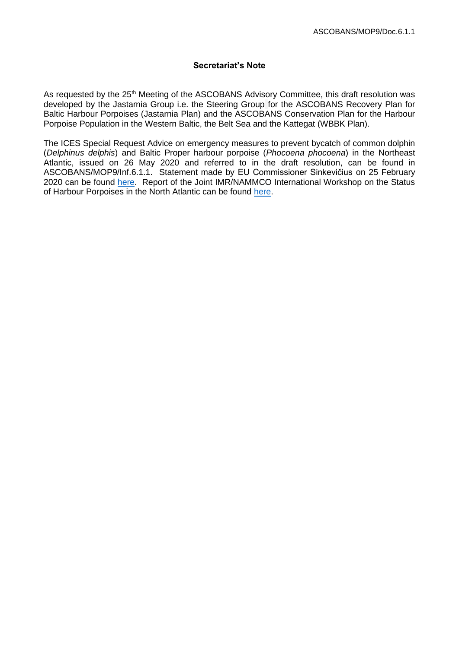## **Secretariat's Note**

As requested by the 25<sup>th</sup> Meeting of the ASCOBANS Advisory Committee, this draft resolution was developed by the Jastarnia Group i.e. the Steering Group for the ASCOBANS Recovery Plan for Baltic Harbour Porpoises (Jastarnia Plan) and the ASCOBANS Conservation Plan for the Harbour Porpoise Population in the Western Baltic, the Belt Sea and the Kattegat (WBBK Plan).

The ICES Special Request Advice on emergency measures to prevent bycatch of common dolphin (*Delphinus delphis*) and Baltic Proper harbour porpoise (*Phocoena phocoena*) in the Northeast Atlantic, issued on 26 May 2020 and referred to in the draft resolution, can be found in ASCOBANS/MOP9/Inf.6.1.1. Statement made by EU Commissioner Sinkevičius on 25 February 2020 can be found [here.](https://ec.europa.eu/commission/presscorner/detail/en/statement_20_328) Report of the Joint IMR/NAMMCO International Workshop on the Status of Harbour Porpoises in the North Atlantic can be found [here.](https://nammco.no/wp-content/uploads/2020/03/final-report_hpws_2018_rev2020.pdf)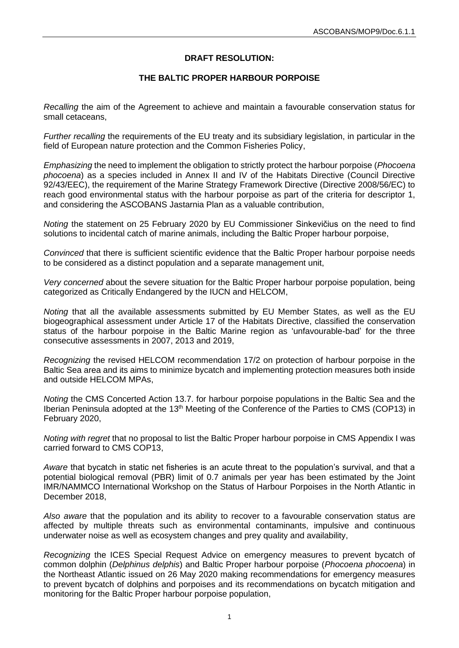## **DRAFT RESOLUTION:**

## **THE BALTIC PROPER HARBOUR PORPOISE**

*Recalling* the aim of the Agreement to achieve and maintain a favourable conservation status for small cetaceans,

*Further recalling* the requirements of the EU treaty and its subsidiary legislation, in particular in the field of European nature protection and the Common Fisheries Policy,

*Emphasizing* the need to implement the obligation to strictly protect the harbour porpoise (*Phocoena phocoena*) as a species included in Annex II and IV of the Habitats Directive (Council Directive 92/43/EEC), the requirement of the Marine Strategy Framework Directive (Directive 2008/56/EC) to reach good environmental status with the harbour porpoise as part of the criteria for descriptor 1, and considering the ASCOBANS Jastarnia Plan as a valuable contribution,

*Noting* the statement on 25 February 2020 by EU Commissioner Sinkevičius on the need to find solutions to incidental catch of marine animals, including the Baltic Proper harbour porpoise,

*Convinced* that there is sufficient scientific evidence that the Baltic Proper harbour porpoise needs to be considered as a distinct population and a separate management unit,

*Very concerned* about the severe situation for the Baltic Proper harbour porpoise population, being categorized as Critically Endangered by the IUCN and HELCOM,

*Noting* that all the available assessments submitted by EU Member States, as well as the EU biogeographical assessment under Article 17 of the Habitats Directive, classified the conservation status of the harbour porpoise in the Baltic Marine region as 'unfavourable-bad' for the three consecutive assessments in 2007, 2013 and 2019,

*Recognizing* the revised HELCOM recommendation 17/2 on protection of harbour porpoise in the Baltic Sea area and its aims to minimize bycatch and implementing protection measures both inside and outside HELCOM MPAs,

*Noting* the CMS Concerted Action 13.7. for harbour porpoise populations in the Baltic Sea and the Iberian Peninsula adopted at the 13<sup>th</sup> Meeting of the Conference of the Parties to CMS (COP13) in February 2020,

*Noting with regret* that no proposal to list the Baltic Proper harbour porpoise in CMS Appendix I was carried forward to CMS COP13,

*Aware* that bycatch in static net fisheries is an acute threat to the population's survival, and that a potential biological removal (PBR) limit of 0.7 animals per year has been estimated by the Joint IMR/NAMMCO International Workshop on the Status of Harbour Porpoises in the North Atlantic in December 2018,

*Also aware* that the population and its ability to recover to a favourable conservation status are affected by multiple threats such as environmental contaminants, impulsive and continuous underwater noise as well as ecosystem changes and prey quality and availability,

*Recognizing* the ICES Special Request Advice on emergency measures to prevent bycatch of common dolphin (*Delphinus delphis*) and Baltic Proper harbour porpoise (*Phocoena phocoena*) in the Northeast Atlantic issued on 26 May 2020 making recommendations for emergency measures to prevent bycatch of dolphins and porpoises and its recommendations on bycatch mitigation and monitoring for the Baltic Proper harbour porpoise population,